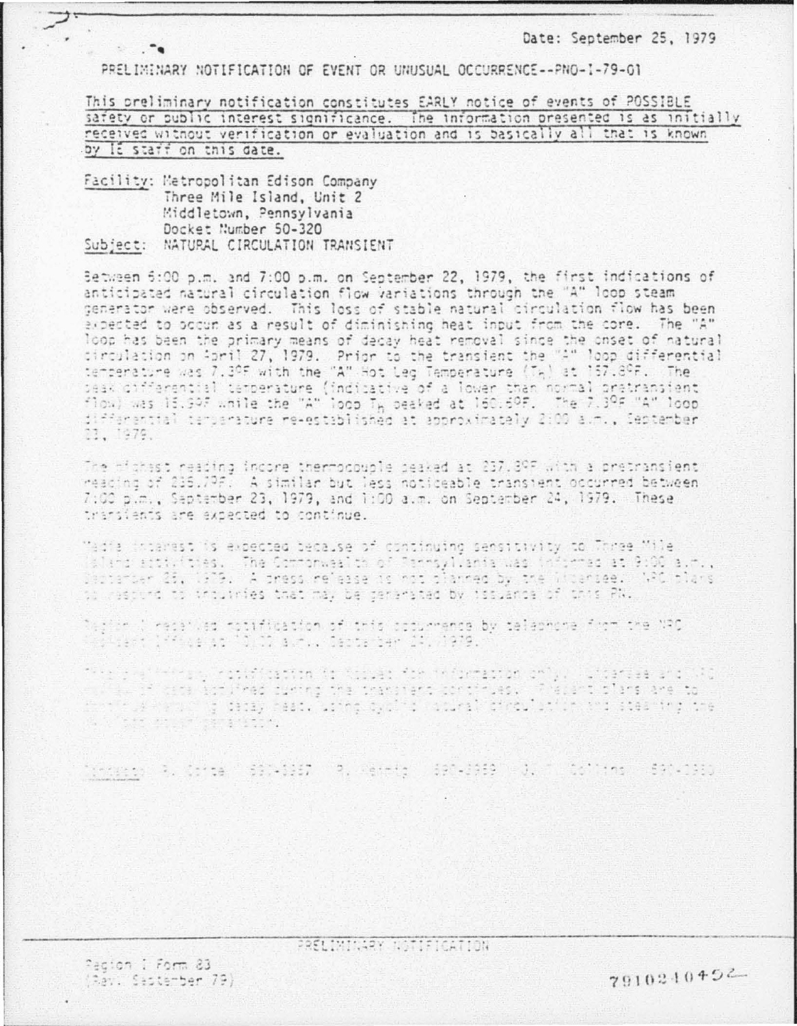Date: September 25, 1979

PRELIMINARY NOTIFICATION OF EVENT OR UNUSUAL OCCURRENCE--PNO-1-79-01

This oreliminary notification constitutes EARLY notice of events of POSSIBLE safety or public interest significance. The information presented is as initially received without verification or evaluation and is basically all that is known by It staff on this date.

Facility: Metropolitan Edison Company Three Mile Island, Unit 2 Middletown, Pennsylvania Docket Number 50-320 Subject: NATURAL CIRCULATION TRANSIENT

 $\sim$   $\sim$ 

Between 5:00 p.m. and 7:00 p.m. on September 22, 1979, the first indications of anticipated natural circulation flow variations through the "A" loop steam generator were observed. This loss of stable natural circulation flow has been expected to occur as a result of diminishing heat input from the core. The "A" loop has been the primary means of decay heat removal since the onset of natural circulation on April 27, 1979. Prior to the transient the "A" loop differential<br>temperature was 7.3ºF with the "A" Hot Leg Temperature (T<sub>h</sub>) at 157.8ºF. The seak differential temperature (indicative of a lower than normal pretransient start of the district conservatore (includence of a fought start more in the residing<br>flow) was 15,997 while the "A" loop T<sub>h</sub> beaked at 160.69F. The 7,39F "A" loop<br>differential tersorature re-established at approximately 23, 1979.

The michast reading incore thermocouple seaked at 237.89F with a pretransient reacing of 235.79F. A similar but less noticeable transient occurred between. 7:00 p.m., Saptamber 23, 1979, and 1:00 a.m. on Septamber 24, 1979. These transients are expected to continue.

Madia interest is expected because of continuing sensitivity to Three Mile aland statulates. The Commonwealth of Pennsyllania was informed at 9:00 a.m., Destatuer 25, 1979. A press release as not planned by the Widersee. WAC plans to respons to intuinies that may be senerated by issuance of this PN.

Dagine ( recaived rotification of this cocurrence by telephone from the NRC<br>Cocident (1996): at 10.00 avoid Cepterber 24, 1979.

the algorithm police with testing is the selection of a contract and CAS and in the same interface of the state and the contribute. This is the state of the state of the state of the<br>And the state of the state as the state of the state of the state of the state in property of the state of the<br>A

trageon a conse "Saveday" a renetal spoudasa plum contins sacuaso

Pedion 1 Form 83 (Ray: September 79) PRELIMINARY NOTIFICATION

7910240452